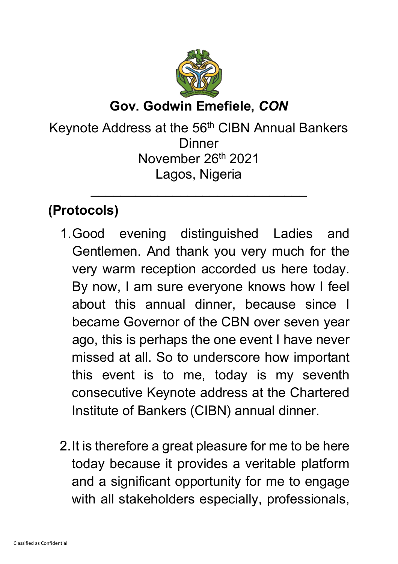

Keynote Address at the 56<sup>th</sup> CIBN Annual Bankers **Dinner** November 26<sup>th</sup> 2021 Lagos, Nigeria

 $\overline{\phantom{a}}$  , and the contract of the contract of the contract of the contract of the contract of the contract of the contract of the contract of the contract of the contract of the contract of the contract of the contrac

# **(Protocols)**

- 1.Good evening distinguished Ladies and Gentlemen. And thank you very much for the very warm reception accorded us here today. By now, I am sure everyone knows how I feel about this annual dinner, because since I became Governor of the CBN over seven year ago, this is perhaps the one event I have never missed at all. So to underscore how important this event is to me, today is my seventh consecutive Keynote address at the Chartered Institute of Bankers (CIBN) annual dinner.
- 2.It is therefore a great pleasure for me to be here today because it provides a veritable platform and a significant opportunity for me to engage with all stakeholders especially, professionals,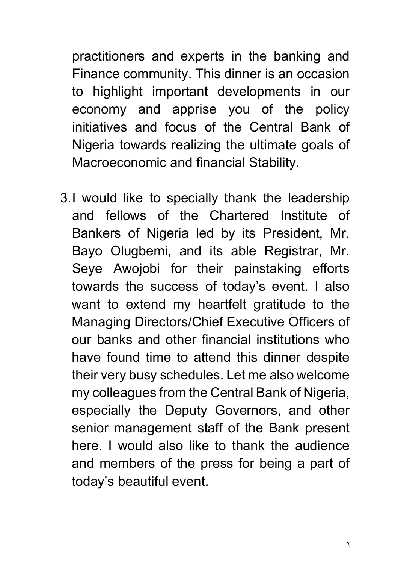practitioners and experts in the banking and Finance community. This dinner is an occasion to highlight important developments in our economy and apprise you of the policy initiatives and focus of the Central Bank of Nigeria towards realizing the ultimate goals of Macroeconomic and financial Stability.

3.I would like to specially thank the leadership and fellows of the Chartered Institute of Bankers of Nigeria led by its President, Mr. Bayo Olugbemi, and its able Registrar, Mr. Seye Awojobi for their painstaking efforts towards the success of today's event. I also want to extend my heartfelt gratitude to the Managing Directors/Chief Executive Officers of our banks and other financial institutions who have found time to attend this dinner despite their very busy schedules. Let me also welcome my colleagues from the Central Bank of Nigeria, especially the Deputy Governors, and other senior management staff of the Bank present here. I would also like to thank the audience and members of the press for being a part of today's beautiful event.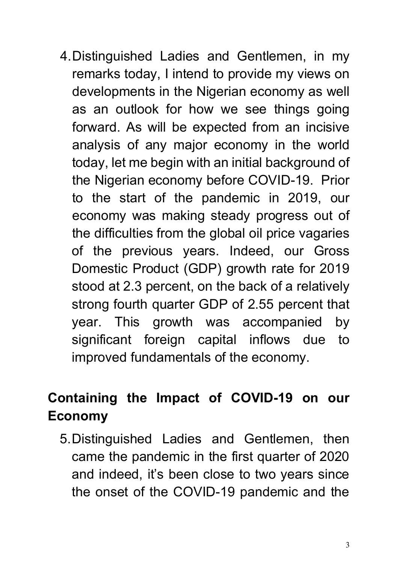4.Distinguished Ladies and Gentlemen, in my remarks today, I intend to provide my views on developments in the Nigerian economy as well as an outlook for how we see things going forward. As will be expected from an incisive analysis of any major economy in the world today, let me begin with an initial background of the Nigerian economy before COVID-19. Prior to the start of the pandemic in 2019, our economy was making steady progress out of the difficulties from the global oil price vagaries of the previous years. Indeed, our Gross Domestic Product (GDP) growth rate for 2019 stood at 2.3 percent, on the back of a relatively strong fourth quarter GDP of 2.55 percent that year. This growth was accompanied by significant foreign capital inflows due to improved fundamentals of the economy.

# **Containing the Impact of COVID-19 on our Economy**

5.Distinguished Ladies and Gentlemen, then came the pandemic in the first quarter of 2020 and indeed, it's been close to two years since the onset of the COVID-19 pandemic and the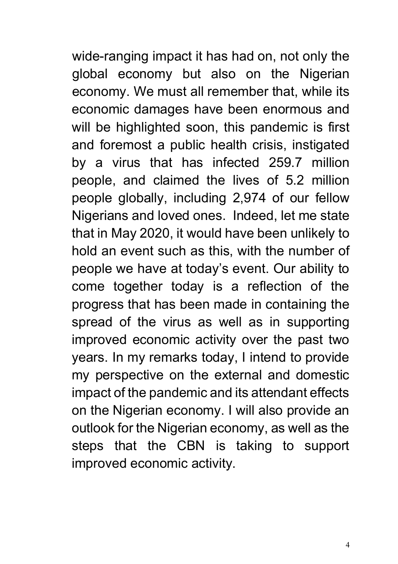wide-ranging impact it has had on, not only the global economy but also on the Nigerian economy. We must all remember that, while its economic damages have been enormous and will be highlighted soon, this pandemic is first and foremost a public health crisis, instigated by a virus that has infected 259.7 million people, and claimed the lives of 5.2 million people globally, including 2,974 of our fellow Nigerians and loved ones. Indeed, let me state that in May 2020, it would have been unlikely to hold an event such as this, with the number of people we have at today's event. Our ability to come together today is a reflection of the progress that has been made in containing the spread of the virus as well as in supporting improved economic activity over the past two years. In my remarks today, I intend to provide my perspective on the external and domestic impact of the pandemic and its attendant effects on the Nigerian economy. I will also provide an outlook for the Nigerian economy, as well as the steps that the CBN is taking to support improved economic activity.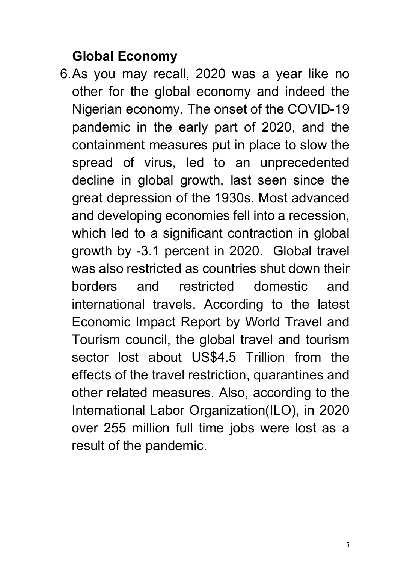## **Global Economy**

6.As you may recall, 2020 was a year like no other for the global economy and indeed the Nigerian economy. The onset of the COVID-19 pandemic in the early part of 2020, and the containment measures put in place to slow the spread of virus, led to an unprecedented decline in global growth, last seen since the great depression of the 1930s. Most advanced and developing economies fell into a recession, which led to a significant contraction in global growth by -3.1 percent in 2020. Global travel was also restricted as countries shut down their borders and restricted domestic and international travels. According to the latest Economic Impact Report by World Travel and Tourism council, the global travel and tourism sector lost about US\$4.5 Trillion from the effects of the travel restriction, quarantines and other related measures. Also, according to the International Labor Organization(ILO), in 2020 over 255 million full time jobs were lost as a result of the pandemic.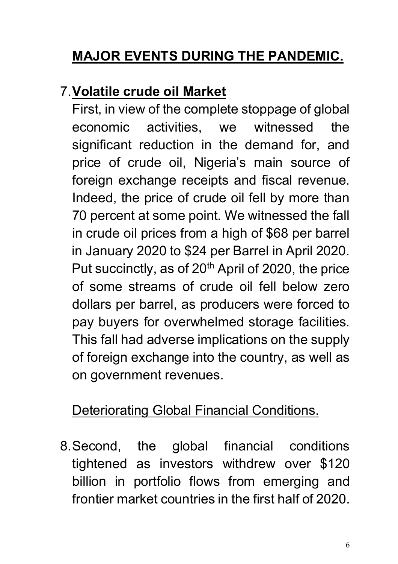# **MAJOR EVENTS DURING THE PANDEMIC.**

### 7.**Volatile crude oil Market**

First, in view of the complete stoppage of global economic activities, we witnessed the significant reduction in the demand for, and price of crude oil, Nigeria's main source of foreign exchange receipts and fiscal revenue. Indeed, the price of crude oil fell by more than 70 percent at some point. We witnessed the fall in crude oil prices from a high of \$68 per barrel in January 2020 to \$24 per Barrel in April 2020. Put succinctly, as of  $20<sup>th</sup>$  April of 2020, the price of some streams of crude oil fell below zero dollars per barrel, as producers were forced to pay buyers for overwhelmed storage facilities. This fall had adverse implications on the supply of foreign exchange into the country, as well as on government revenues.

### Deteriorating Global Financial Conditions.

8.Second, the global financial conditions tightened as investors withdrew over \$120 billion in portfolio flows from emerging and frontier market countries in the first half of 2020.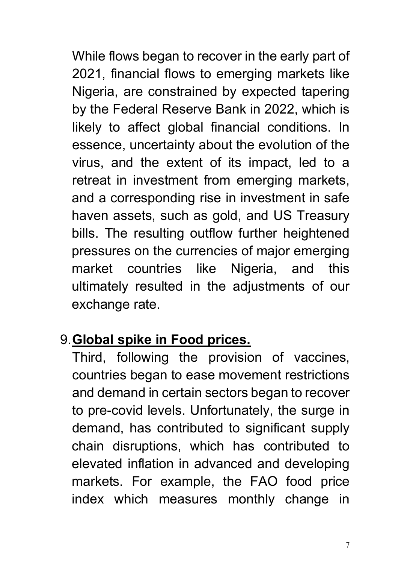While flows began to recover in the early part of 2021, financial flows to emerging markets like Nigeria, are constrained by expected tapering by the Federal Reserve Bank in 2022, which is likely to affect global financial conditions. In essence, uncertainty about the evolution of the virus, and the extent of its impact, led to a retreat in investment from emerging markets, and a corresponding rise in investment in safe haven assets, such as gold, and US Treasury bills. The resulting outflow further heightened pressures on the currencies of major emerging market countries like Nigeria, and this ultimately resulted in the adjustments of our exchange rate.

### 9.**Global spike in Food prices.**

Third, following the provision of vaccines, countries began to ease movement restrictions and demand in certain sectors began to recover to pre-covid levels. Unfortunately, the surge in demand, has contributed to significant supply chain disruptions, which has contributed to elevated inflation in advanced and developing markets. For example, the FAO food price index which measures monthly change in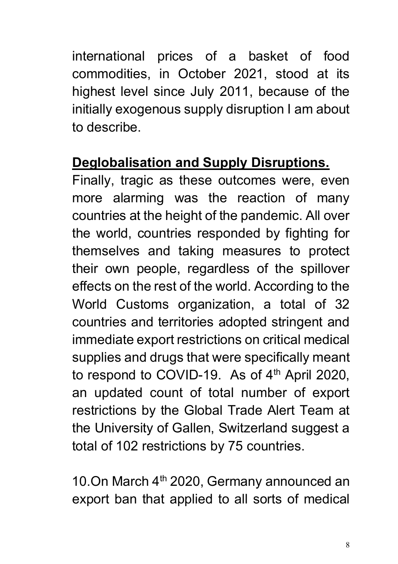international prices of a basket of food commodities, in October 2021, stood at its highest level since July 2011, because of the initially exogenous supply disruption I am about to describe.

#### **Deglobalisation and Supply Disruptions.**

Finally, tragic as these outcomes were, even more alarming was the reaction of many countries at the height of the pandemic. All over the world, countries responded by fighting for themselves and taking measures to protect their own people, regardless of the spillover effects on the rest of the world. According to the World Customs organization, a total of 32 countries and territories adopted stringent and immediate export restrictions on critical medical supplies and drugs that were specifically meant to respond to COVID-19. As of 4<sup>th</sup> April 2020, an updated count of total number of export restrictions by the Global Trade Alert Team at the University of Gallen, Switzerland suggest a total of 102 restrictions by 75 countries.

10.On March  $4<sup>th</sup>$  2020, Germany announced an export ban that applied to all sorts of medical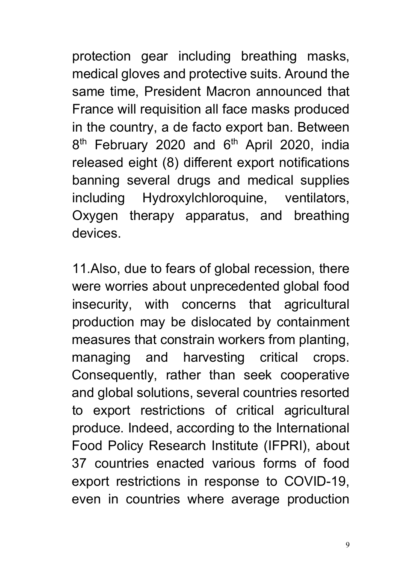protection gear including breathing masks, medical gloves and protective suits. Around the same time, President Macron announced that France will requisition all face masks produced in the country, a de facto export ban. Between 8<sup>th</sup> February 2020 and 6<sup>th</sup> April 2020, india released eight (8) different export notifications banning several drugs and medical supplies including Hydroxylchloroquine, ventilators, Oxygen therapy apparatus, and breathing devices.

11.Also, due to fears of global recession, there were worries about unprecedented global food insecurity, with concerns that agricultural production may be dislocated by containment measures that constrain workers from planting, managing and harvesting critical crops. Consequently, rather than seek cooperative and global solutions, several countries resorted to export restrictions of critical agricultural produce. Indeed, according to the International Food Policy Research Institute (IFPRI), about 37 countries enacted various forms of food export restrictions in response to COVID-19, even in countries where average production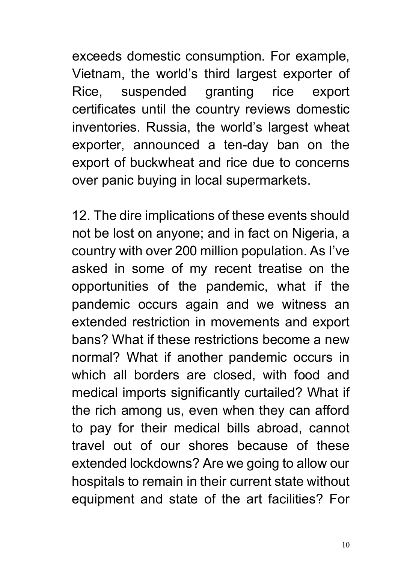exceeds domestic consumption. For example, Vietnam, the world's third largest exporter of Rice, suspended granting rice export certificates until the country reviews domestic inventories. Russia, the world's largest wheat exporter, announced a ten-day ban on the export of buckwheat and rice due to concerns over panic buying in local supermarkets.

12. The dire implications of these events should not be lost on anyone; and in fact on Nigeria, a country with over 200 million population. As I've asked in some of my recent treatise on the opportunities of the pandemic, what if the pandemic occurs again and we witness an extended restriction in movements and export bans? What if these restrictions become a new normal? What if another pandemic occurs in which all borders are closed, with food and medical imports significantly curtailed? What if the rich among us, even when they can afford to pay for their medical bills abroad, cannot travel out of our shores because of these extended lockdowns? Are we going to allow our hospitals to remain in their current state without equipment and state of the art facilities? For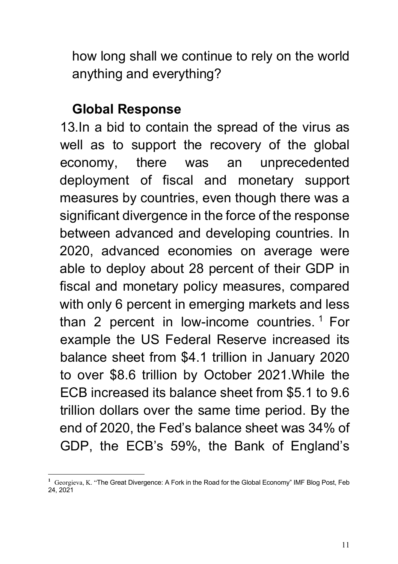how long shall we continue to rely on the world anything and everything?

#### **Global Response**

13.In a bid to contain the spread of the virus as well as to support the recovery of the global economy, there was an unprecedented deployment of fiscal and monetary support measures by countries, even though there was a significant divergence in the force of the response between advanced and developing countries. In 2020, advanced economies on average were able to deploy about 28 percent of their GDP in fiscal and monetary policy measures, compared with only 6 percent in emerging markets and less than 2 percent in low-income countries.  $1$  For example the US Federal Reserve increased its balance sheet from \$4.1 trillion in January 2020 to over \$8.6 trillion by October 2021.While the ECB increased its balance sheet from \$5.1 to 9.6 trillion dollars over the same time period. By the end of 2020, the Fed's balance sheet was 34% of GDP, the ECB's 59%, the Bank of England's

<span id="page-10-0"></span>**<sup>1</sup>** Georgieva, K. "The Great Divergence: A Fork in the Road for the Global Economy" IMF Blog Post, Feb 24, 2021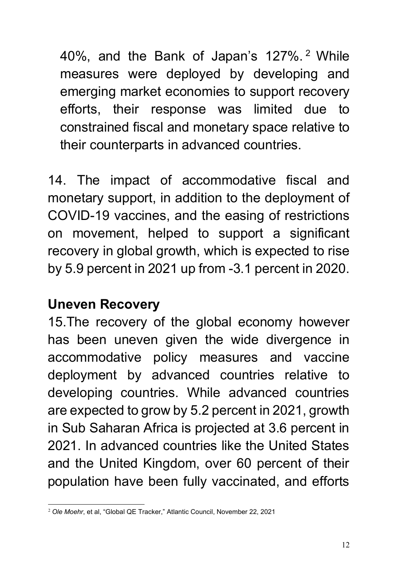40%, and the Bank of Japan's 127%. [2](#page-11-0) While measures were deployed by developing and emerging market economies to support recovery efforts, their response was limited due to constrained fiscal and monetary space relative to their counterparts in advanced countries.

14. The impact of accommodative fiscal and monetary support, in addition to the deployment of COVID-19 vaccines, and the easing of restrictions on movement, helped to support a significant recovery in global growth, which is expected to rise by 5.9 percent in 2021 up from -3.1 percent in 2020.

#### **Uneven Recovery**

15.The recovery of the global economy however has been uneven given the wide divergence in accommodative policy measures and vaccine deployment by advanced countries relative to developing countries. While advanced countries are expected to grow by 5.2 percent in 2021, growth in Sub Saharan Africa is projected at 3.6 percent in 2021. In advanced countries like the United States and the United Kingdom, over 60 percent of their population have been fully vaccinated, and efforts

<span id="page-11-0"></span><sup>2</sup> *Ole Moehr*, et al, "Global QE Tracker," Atlantic Council, November 22, 2021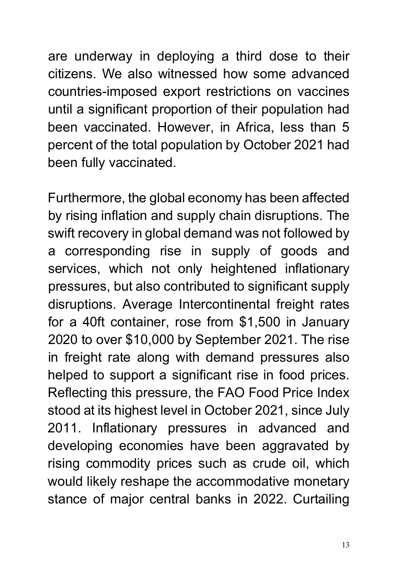are underway in deploying a third dose to their citizens. We also witnessed how some advanced countries-imposed export restrictions on vaccines until a significant proportion of their population had been vaccinated. However, in Africa, less than 5 percent of the total population by October 2021 had been fully vaccinated.

Furthermore, the global economy has been affected by rising inflation and supply chain disruptions. The swift recovery in global demand was not followed by a corresponding rise in supply of goods and services, which not only heightened inflationary pressures, but also contributed to significant supply disruptions. Average Intercontinental freight rates for a 40ft container, rose from \$1,500 in January 2020 to over \$10,000 by September 2021. The rise in freight rate along with demand pressures also helped to support a significant rise in food prices. Reflecting this pressure, the FAO Food Price Index stood at its highest level in October 2021, since July 2011. Inflationary pressures in advanced and developing economies have been aggravated by rising commodity prices such as crude oil, which would likely reshape the accommodative monetary stance of major central banks in 2022. Curtailing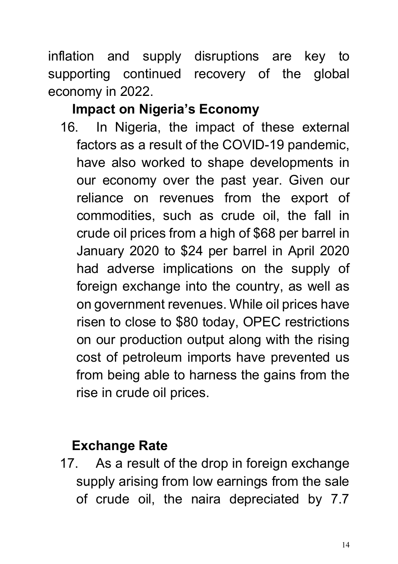inflation and supply disruptions are key to supporting continued recovery of the global economy in 2022.

## **Impact on Nigeria's Economy**

16. In Nigeria, the impact of these external factors as a result of the COVID-19 pandemic, have also worked to shape developments in our economy over the past year. Given our reliance on revenues from the export of commodities, such as crude oil, the fall in crude oil prices from a high of \$68 per barrel in January 2020 to \$24 per barrel in April 2020 had adverse implications on the supply of foreign exchange into the country, as well as on government revenues. While oil prices have risen to close to \$80 today, OPEC restrictions on our production output along with the rising cost of petroleum imports have prevented us from being able to harness the gains from the rise in crude oil prices.

### **Exchange Rate**

17. As a result of the drop in foreign exchange supply arising from low earnings from the sale of crude oil, the naira depreciated by 7.7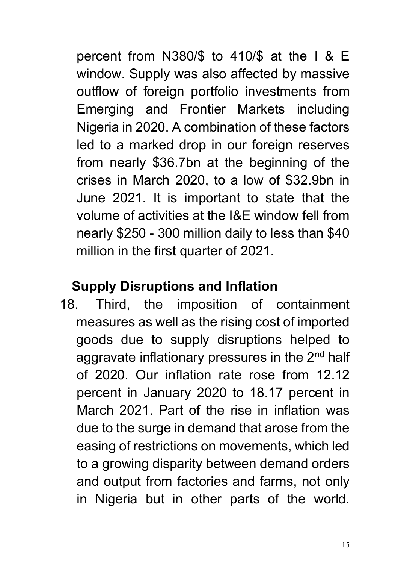percent from N380/\$ to 410/\$ at the I & E window. Supply was also affected by massive outflow of foreign portfolio investments from Emerging and Frontier Markets including Nigeria in 2020. A combination of these factors led to a marked drop in our foreign reserves from nearly \$36.7bn at the beginning of the crises in March 2020, to a low of \$32.9bn in June 2021. It is important to state that the volume of activities at the I&E window fell from nearly \$250 - 300 million daily to less than \$40 million in the first quarter of 2021.

### **Supply Disruptions and Inflation**

18. Third, the imposition of containment measures as well as the rising cost of imported goods due to supply disruptions helped to aggravate inflationary pressures in the 2<sup>nd</sup> half of 2020. Our inflation rate rose from 12.12 percent in January 2020 to 18.17 percent in March 2021. Part of the rise in inflation was due to the surge in demand that arose from the easing of restrictions on movements, which led to a growing disparity between demand orders and output from factories and farms, not only in Nigeria but in other parts of the world.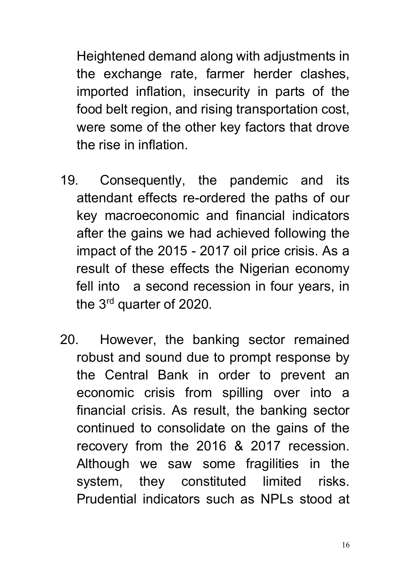Heightened demand along with adjustments in the exchange rate, farmer herder clashes, imported inflation, insecurity in parts of the food belt region, and rising transportation cost, were some of the other key factors that drove the rise in inflation.

- 19. Consequently, the pandemic and its attendant effects re-ordered the paths of our key macroeconomic and financial indicators after the gains we had achieved following the impact of the 2015 - 2017 oil price crisis. As a result of these effects the Nigerian economy fell into a second recession in four years, in the 3rd quarter of 2020.
- 20. However, the banking sector remained robust and sound due to prompt response by the Central Bank in order to prevent an economic crisis from spilling over into a financial crisis. As result, the banking sector continued to consolidate on the gains of the recovery from the 2016 & 2017 recession. Although we saw some fragilities in the system, they constituted limited risks. Prudential indicators such as NPLs stood at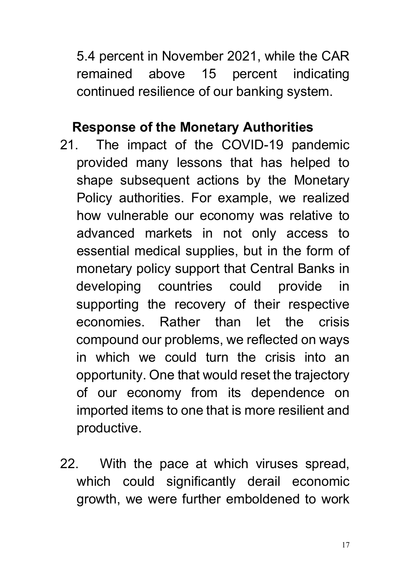5.4 percent in November 2021, while the CAR remained above 15 percent indicating continued resilience of our banking system.

#### **Response of the Monetary Authorities**

- 21. The impact of the COVID-19 pandemic provided many lessons that has helped to shape subsequent actions by the Monetary Policy authorities. For example, we realized how vulnerable our economy was relative to advanced markets in not only access to essential medical supplies, but in the form of monetary policy support that Central Banks in developing countries could provide in supporting the recovery of their respective economies. Rather than let the crisis compound our problems, we reflected on ways in which we could turn the crisis into an opportunity. One that would reset the trajectory of our economy from its dependence on imported items to one that is more resilient and productive.
- 22. With the pace at which viruses spread, which could significantly derail economic growth, we were further emboldened to work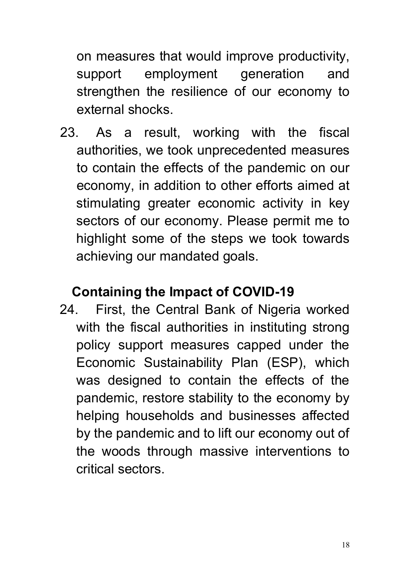on measures that would improve productivity, support employment generation and strengthen the resilience of our economy to external shocks.

23. As a result, working with the fiscal authorities, we took unprecedented measures to contain the effects of the pandemic on our economy, in addition to other efforts aimed at stimulating greater economic activity in key sectors of our economy. Please permit me to highlight some of the steps we took towards achieving our mandated goals.

### **Containing the Impact of COVID-19**

24. First, the Central Bank of Nigeria worked with the fiscal authorities in instituting strong policy support measures capped under the Economic Sustainability Plan (ESP), which was designed to contain the effects of the pandemic, restore stability to the economy by helping households and businesses affected by the pandemic and to lift our economy out of the woods through massive interventions to critical sectors.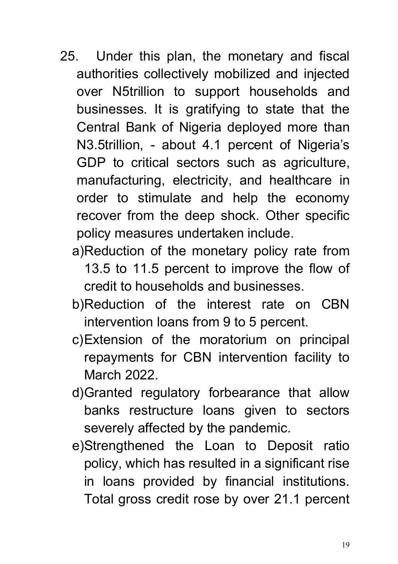- 25. Under this plan, the monetary and fiscal authorities collectively mobilized and injected over N5trillion to support households and businesses. It is gratifying to state that the Central Bank of Nigeria deployed more than N3.5trillion, - about 4.1 percent of Nigeria's GDP to critical sectors such as agriculture, manufacturing, electricity, and healthcare in order to stimulate and help the economy recover from the deep shock. Other specific policy measures undertaken include.
	- a)Reduction of the monetary policy rate from 13.5 to 11.5 percent to improve the flow of credit to households and businesses.
	- b)Reduction of the interest rate on CBN intervention loans from 9 to 5 percent.
	- c)Extension of the moratorium on principal repayments for CBN intervention facility to March 2022.
	- d)Granted regulatory forbearance that allow banks restructure loans given to sectors severely affected by the pandemic.
	- e)Strengthened the Loan to Deposit ratio policy, which has resulted in a significant rise in loans provided by financial institutions. Total gross credit rose by over 21.1 percent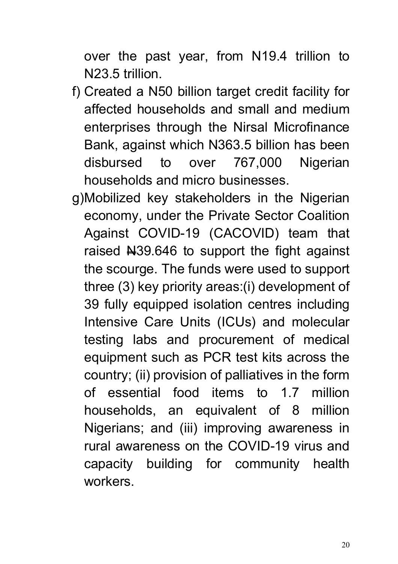over the past year, from N19.4 trillion to N23.5 trillion.

- f) Created a N50 billion target credit facility for affected households and small and medium enterprises through the Nirsal Microfinance Bank, against which N363.5 billion has been disbursed to over 767,000 Nigerian households and micro businesses.
- g)Mobilized key stakeholders in the Nigerian economy, under the Private Sector Coalition Against COVID-19 (CACOVID) team that raised N39.646 to support the fight against the scourge. The funds were used to support three (3) key priority areas:(i) development of 39 fully equipped isolation centres including Intensive Care Units (ICUs) and molecular testing labs and procurement of medical equipment such as PCR test kits across the country; (ii) provision of palliatives in the form of essential food items to 1.7 million households, an equivalent of 8 million Nigerians; and (iii) improving awareness in rural awareness on the COVID-19 virus and capacity building for community health workers.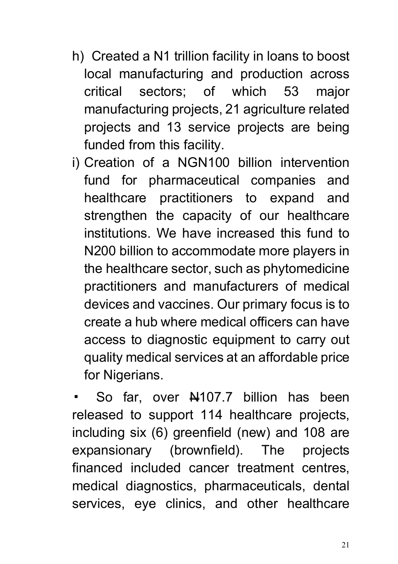- h) Created a N1 trillion facility in loans to boost local manufacturing and production across critical sectors; of which 53 major manufacturing projects, 21 agriculture related projects and 13 service projects are being funded from this facility.
- i) Creation of a NGN100 billion intervention fund for pharmaceutical companies and healthcare practitioners to expand and strengthen the capacity of our healthcare institutions. We have increased this fund to N200 billion to accommodate more players in the healthcare sector, such as phytomedicine practitioners and manufacturers of medical devices and vaccines. Our primary focus is to create a hub where medical officers can have access to diagnostic equipment to carry out quality medical services at an affordable price for Nigerians.

So far, over  $\frac{10107}{7}$  billion has been released to support 114 healthcare projects, including six (6) greenfield (new) and 108 are expansionary (brownfield). The projects financed included cancer treatment centres, medical diagnostics, pharmaceuticals, dental services, eye clinics, and other healthcare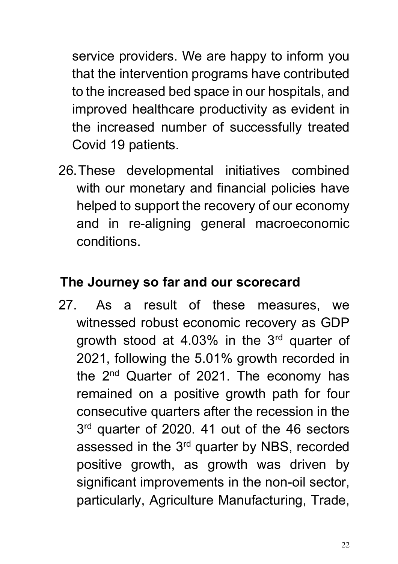service providers. We are happy to inform you that the intervention programs have contributed to the increased bed space in our hospitals, and improved healthcare productivity as evident in the increased number of successfully treated Covid 19 patients.

26.These developmental initiatives combined with our monetary and financial policies have helped to support the recovery of our economy and in re-aligning general macroeconomic conditions.

## **The Journey so far and our scorecard**

27. As a result of these measures, we witnessed robust economic recovery as GDP growth stood at 4.03% in the 3rd quarter of 2021, following the 5.01% growth recorded in the 2<sup>nd</sup> Quarter of 2021. The economy has remained on a positive growth path for four consecutive quarters after the recession in the 3rd quarter of 2020. 41 out of the 46 sectors assessed in the 3<sup>rd</sup> quarter by NBS, recorded positive growth, as growth was driven by significant improvements in the non-oil sector, particularly, Agriculture Manufacturing, Trade,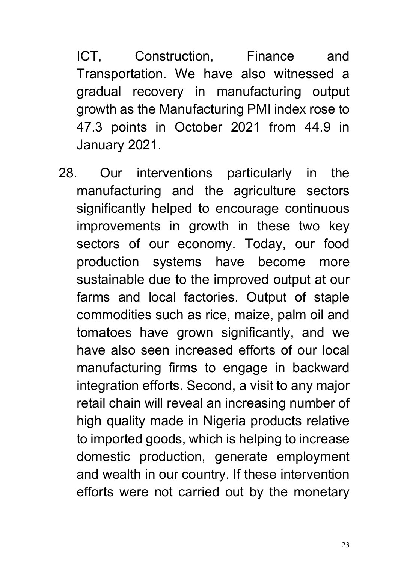ICT, Construction, Finance and Transportation. We have also witnessed a gradual recovery in manufacturing output growth as the Manufacturing PMI index rose to 47.3 points in October 2021 from 44.9 in January 2021.

28. Our interventions particularly in the manufacturing and the agriculture sectors significantly helped to encourage continuous improvements in growth in these two key sectors of our economy. Today, our food production systems have become more sustainable due to the improved output at our farms and local factories. Output of staple commodities such as rice, maize, palm oil and tomatoes have grown significantly, and we have also seen increased efforts of our local manufacturing firms to engage in backward integration efforts. Second, a visit to any major retail chain will reveal an increasing number of high quality made in Nigeria products relative to imported goods, which is helping to increase domestic production, generate employment and wealth in our country. If these intervention efforts were not carried out by the monetary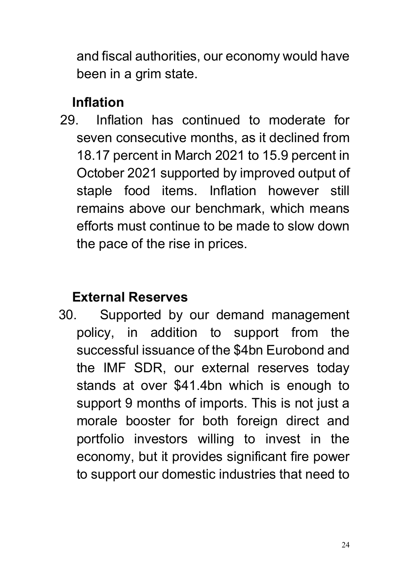and fiscal authorities, our economy would have been in a grim state.

## **Inflation**

29. Inflation has continued to moderate for seven consecutive months, as it declined from 18.17 percent in March 2021 to 15.9 percent in October 2021 supported by improved output of staple food items. Inflation however still remains above our benchmark, which means efforts must continue to be made to slow down the pace of the rise in prices.

## **External Reserves**

30. Supported by our demand management policy, in addition to support from the successful issuance of the \$4bn Eurobond and the IMF SDR, our external reserves today stands at over \$41.4bn which is enough to support 9 months of imports. This is not just a morale booster for both foreign direct and portfolio investors willing to invest in the economy, but it provides significant fire power to support our domestic industries that need to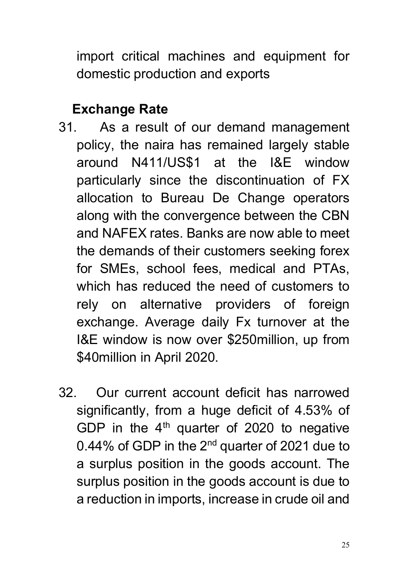import critical machines and equipment for domestic production and exports

## **Exchange Rate**

- 31. As a result of our demand management policy, the naira has remained largely stable around N411/US\$1 at the I&E window particularly since the discontinuation of FX allocation to Bureau De Change operators along with the convergence between the CBN and NAFEX rates. Banks are now able to meet the demands of their customers seeking forex for SMEs, school fees, medical and PTAs, which has reduced the need of customers to rely on alternative providers of foreign exchange. Average daily Fx turnover at the I&E window is now over \$250million, up from \$40million in April 2020.
- 32. Our current account deficit has narrowed significantly, from a huge deficit of 4.53% of GDP in the  $4<sup>th</sup>$  quarter of 2020 to negative 0.44% of GDP in the 2<sup>nd</sup> quarter of 2021 due to a surplus position in the goods account. The surplus position in the goods account is due to a reduction in imports, increase in crude oil and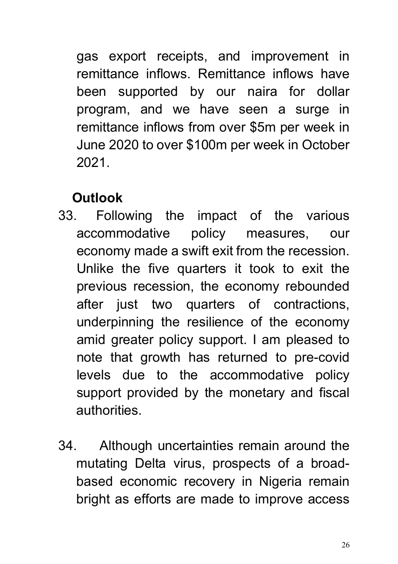gas export receipts, and improvement in remittance inflows. Remittance inflows have been supported by our naira for dollar program, and we have seen a surge in remittance inflows from over \$5m per week in June 2020 to over \$100m per week in October 2021.

## **Outlook**

- 33. Following the impact of the various accommodative policy measures, our economy made a swift exit from the recession. Unlike the five quarters it took to exit the previous recession, the economy rebounded after just two quarters of contractions, underpinning the resilience of the economy amid greater policy support. I am pleased to note that growth has returned to pre-covid levels due to the accommodative policy support provided by the monetary and fiscal authorities.
- 34. Although uncertainties remain around the mutating Delta virus, prospects of a broadbased economic recovery in Nigeria remain bright as efforts are made to improve access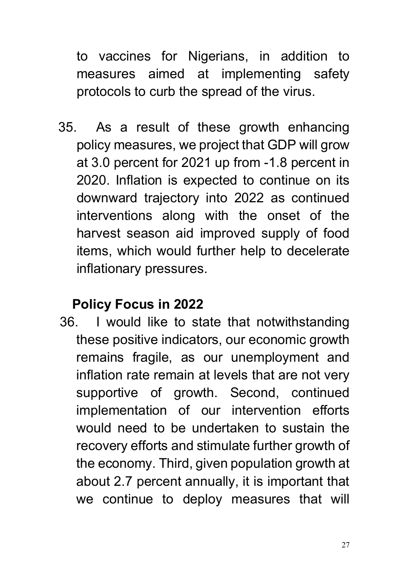to vaccines for Nigerians, in addition to measures aimed at implementing safety protocols to curb the spread of the virus.

35. As a result of these growth enhancing policy measures, we project that GDP will grow at 3.0 percent for 2021 up from -1.8 percent in 2020. Inflation is expected to continue on its downward trajectory into 2022 as continued interventions along with the onset of the harvest season aid improved supply of food items, which would further help to decelerate inflationary pressures.

### **Policy Focus in 2022**

36. I would like to state that notwithstanding these positive indicators, our economic growth remains fragile, as our unemployment and inflation rate remain at levels that are not very supportive of growth. Second, continued implementation of our intervention efforts would need to be undertaken to sustain the recovery efforts and stimulate further growth of the economy. Third, given population growth at about 2.7 percent annually, it is important that we continue to deploy measures that will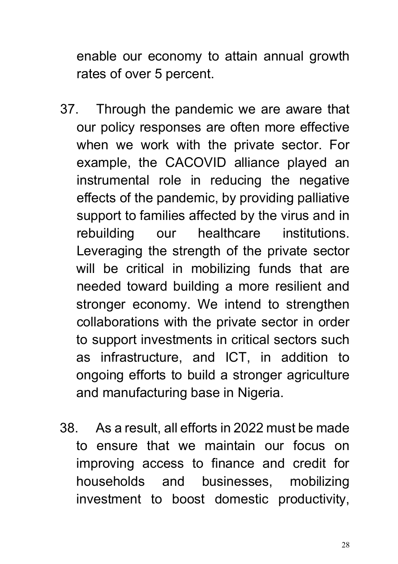enable our economy to attain annual growth rates of over 5 percent.

- 37. Through the pandemic we are aware that our policy responses are often more effective when we work with the private sector. For example, the CACOVID alliance played an instrumental role in reducing the negative effects of the pandemic, by providing palliative support to families affected by the virus and in rebuilding our healthcare institutions. Leveraging the strength of the private sector will be critical in mobilizing funds that are needed toward building a more resilient and stronger economy. We intend to strengthen collaborations with the private sector in order to support investments in critical sectors such as infrastructure, and ICT, in addition to ongoing efforts to build a stronger agriculture and manufacturing base in Nigeria.
- 38. As a result, all efforts in 2022 must be made to ensure that we maintain our focus on improving access to finance and credit for households and businesses, mobilizing investment to boost domestic productivity,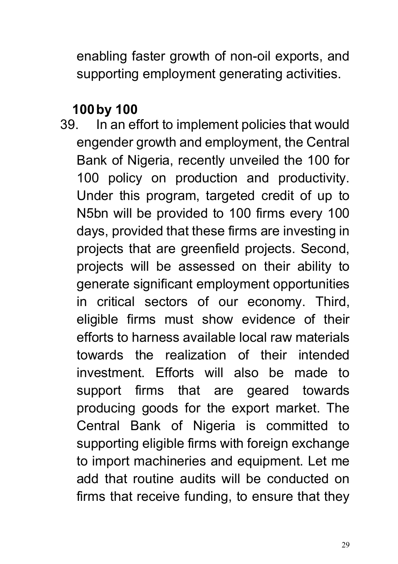enabling faster growth of non-oil exports, and supporting employment generating activities.

#### **100by 100**

39. In an effort to implement policies that would engender growth and employment, the Central Bank of Nigeria, recently unveiled the 100 for 100 policy on production and productivity. Under this program, targeted credit of up to N5bn will be provided to 100 firms every 100 days, provided that these firms are investing in projects that are greenfield projects. Second, projects will be assessed on their ability to generate significant employment opportunities in critical sectors of our economy. Third, eligible firms must show evidence of their efforts to harness available local raw materials towards the realization of their intended investment. Efforts will also be made to support firms that are geared towards producing goods for the export market. The Central Bank of Nigeria is committed to supporting eligible firms with foreign exchange to import machineries and equipment. Let me add that routine audits will be conducted on firms that receive funding, to ensure that they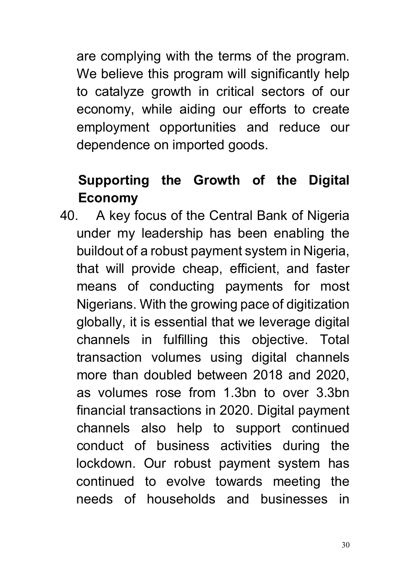are complying with the terms of the program. We believe this program will significantly help to catalyze growth in critical sectors of our economy, while aiding our efforts to create employment opportunities and reduce our dependence on imported goods.

# **Supporting the Growth of the Digital Economy**

40. A key focus of the Central Bank of Nigeria under my leadership has been enabling the buildout of a robust payment system in Nigeria, that will provide cheap, efficient, and faster means of conducting payments for most Nigerians. With the growing pace of digitization globally, it is essential that we leverage digital channels in fulfilling this objective. Total transaction volumes using digital channels more than doubled between 2018 and 2020, as volumes rose from 1.3bn to over 3.3bn financial transactions in 2020. Digital payment channels also help to support continued conduct of business activities during the lockdown. Our robust payment system has continued to evolve towards meeting the needs of households and businesses in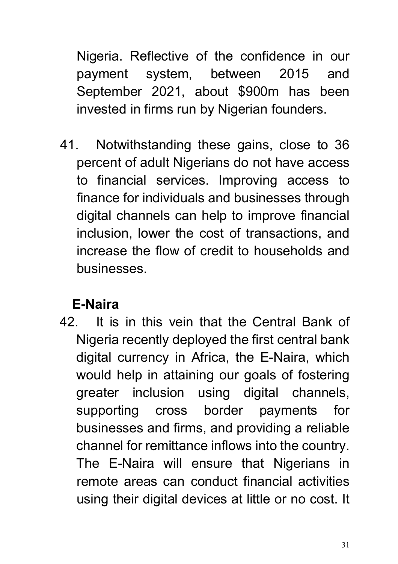Nigeria. Reflective of the confidence in our payment system, between 2015 and September 2021, about \$900m has been invested in firms run by Nigerian founders.

41. Notwithstanding these gains, close to 36 percent of adult Nigerians do not have access to financial services. Improving access to finance for individuals and businesses through digital channels can help to improve financial inclusion, lower the cost of transactions, and increase the flow of credit to households and businesses.

# **E-Naira**

42. It is in this vein that the Central Bank of Nigeria recently deployed the first central bank digital currency in Africa, the E-Naira, which would help in attaining our goals of fostering greater inclusion using digital channels, supporting cross border payments for businesses and firms, and providing a reliable channel for remittance inflows into the country. The E-Naira will ensure that Nigerians in remote areas can conduct financial activities using their digital devices at little or no cost. It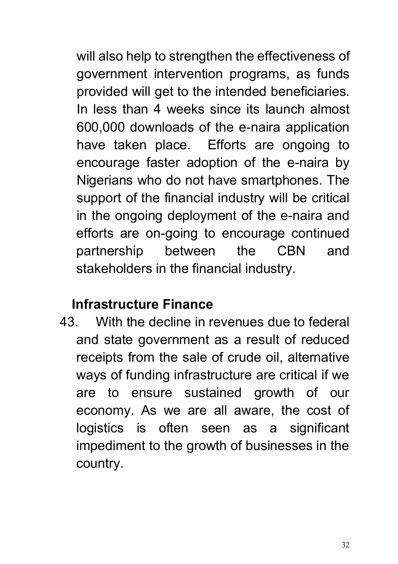will also help to strengthen the effectiveness of government intervention programs, as funds provided will get to the intended beneficiaries. In less than 4 weeks since its launch almost 600,000 downloads of the e-naira application have taken place. Efforts are ongoing to encourage faster adoption of the e-naira by Nigerians who do not have smartphones. The support of the financial industry will be critical in the ongoing deployment of the e-naira and efforts are on-going to encourage continued partnership between the CBN and stakeholders in the financial industry.

## **Infrastructure Finance**

43. With the decline in revenues due to federal and state government as a result of reduced receipts from the sale of crude oil, alternative ways of funding infrastructure are critical if we are to ensure sustained growth of our economy. As we are all aware, the cost of logistics is often seen as a significant impediment to the growth of businesses in the country.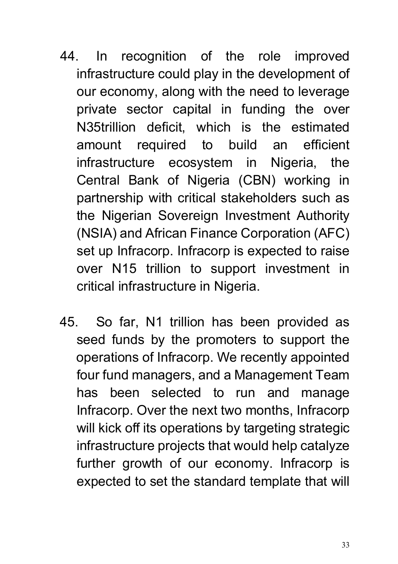- 44. In recognition of the role improved infrastructure could play in the development of our economy, along with the need to leverage private sector capital in funding the over N35trillion deficit, which is the estimated amount required to build an efficient infrastructure ecosystem in Nigeria, the Central Bank of Nigeria (CBN) working in partnership with critical stakeholders such as the Nigerian Sovereign Investment Authority (NSIA) and African Finance Corporation (AFC) set up Infracorp. Infracorp is expected to raise over N15 trillion to support investment in critical infrastructure in Nigeria.
- 45. So far, N1 trillion has been provided as seed funds by the promoters to support the operations of Infracorp. We recently appointed four fund managers, and a Management Team has been selected to run and manage Infracorp. Over the next two months, Infracorp will kick off its operations by targeting strategic infrastructure projects that would help catalyze further growth of our economy. Infracorp is expected to set the standard template that will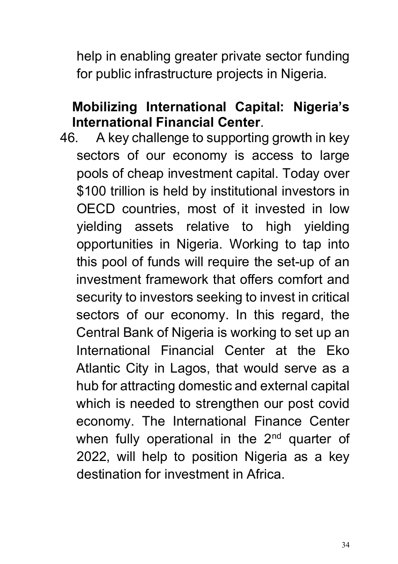help in enabling greater private sector funding for public infrastructure projects in Nigeria.

#### **Mobilizing International Capital: Nigeria's International Financial Center**.

46. A key challenge to supporting growth in key sectors of our economy is access to large pools of cheap investment capital. Today over \$100 trillion is held by institutional investors in OECD countries, most of it invested in low yielding assets relative to high yielding opportunities in Nigeria. Working to tap into this pool of funds will require the set-up of an investment framework that offers comfort and security to investors seeking to invest in critical sectors of our economy. In this regard, the Central Bank of Nigeria is working to set up an International Financial Center at the Eko Atlantic City in Lagos, that would serve as a hub for attracting domestic and external capital which is needed to strengthen our post covid economy. The International Finance Center when fully operational in the  $2<sup>nd</sup>$  quarter of 2022, will help to position Nigeria as a key destination for investment in Africa.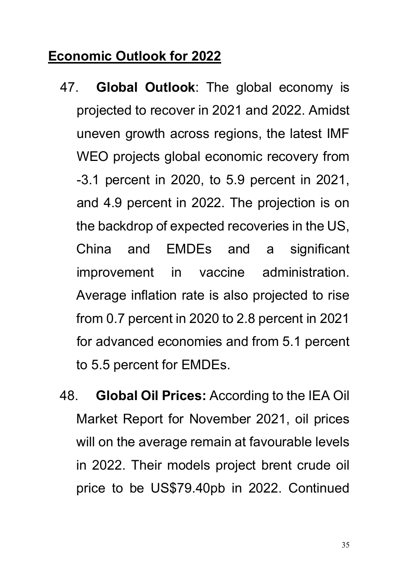## **Economic Outlook for 2022**

- 47. **Global Outlook**: The global economy is projected to recover in 2021 and 2022. Amidst uneven growth across regions, the latest IMF WEO projects global economic recovery from -3.1 percent in 2020, to 5.9 percent in 2021, and 4.9 percent in 2022. The projection is on the backdrop of expected recoveries in the US, China and EMDEs and a significant improvement in vaccine administration. Average inflation rate is also projected to rise from 0.7 percent in 2020 to 2.8 percent in 2021 for advanced economies and from 5.1 percent to 5.5 percent for EMDEs.
- 48. **Global Oil Prices:** According to the IEA Oil Market Report for November 2021, oil prices will on the average remain at favourable levels in 2022. Their models project brent crude oil price to be US\$79.40pb in 2022. Continued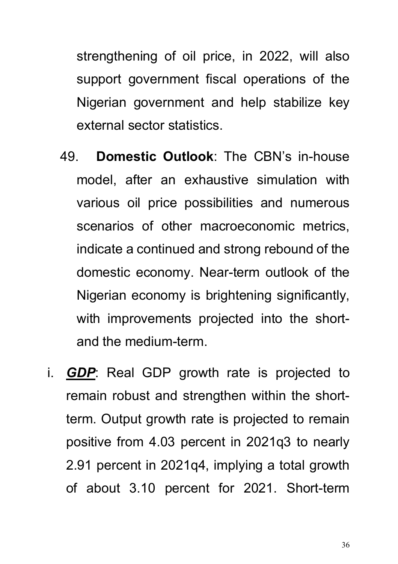strengthening of oil price, in 2022, will also support government fiscal operations of the Nigerian government and help stabilize key external sector statistics.

- 49. **Domestic Outlook**: The CBN's in-house model, after an exhaustive simulation with various oil price possibilities and numerous scenarios of other macroeconomic metrics, indicate a continued and strong rebound of the domestic economy. Near-term outlook of the Nigerian economy is brightening significantly, with improvements projected into the shortand the medium-term.
- i. *GDP*: Real GDP growth rate is projected to remain robust and strengthen within the shortterm. Output growth rate is projected to remain positive from 4.03 percent in 2021q3 to nearly 2.91 percent in 2021q4, implying a total growth of about 3.10 percent for 2021. Short-term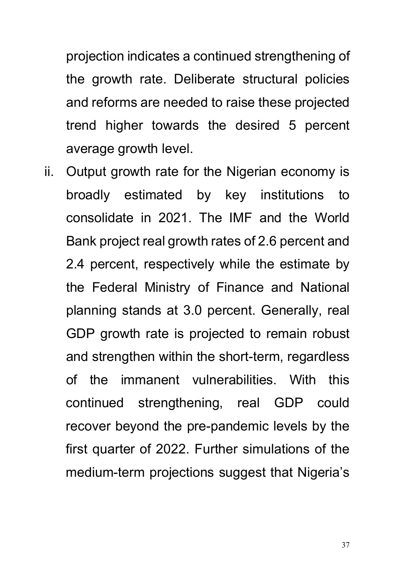projection indicates a continued strengthening of the growth rate. Deliberate structural policies and reforms are needed to raise these projected trend higher towards the desired 5 percent average growth level.

ii. Output growth rate for the Nigerian economy is broadly estimated by key institutions to consolidate in 2021. The IMF and the World Bank project real growth rates of 2.6 percent and 2.4 percent, respectively while the estimate by the Federal Ministry of Finance and National planning stands at 3.0 percent. Generally, real GDP growth rate is projected to remain robust and strengthen within the short-term, regardless of the immanent vulnerabilities. With this continued strengthening, real GDP could recover beyond the pre-pandemic levels by the first quarter of 2022. Further simulations of the medium-term projections suggest that Nigeria's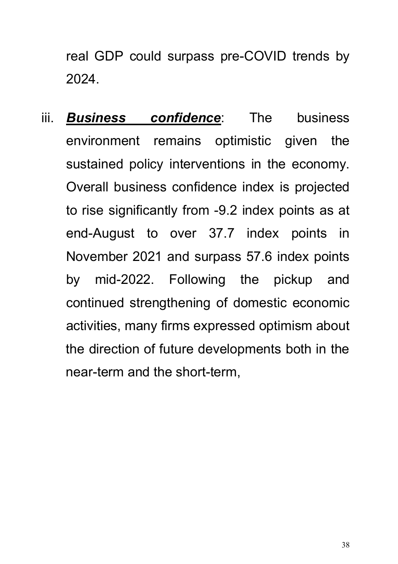real GDP could surpass pre-COVID trends by 2024.

iii. *Business confidence*: The business environment remains optimistic given the sustained policy interventions in the economy. Overall business confidence index is projected to rise significantly from -9.2 index points as at end-August to over 37.7 index points in November 2021 and surpass 57.6 index points by mid-2022. Following the pickup and continued strengthening of domestic economic activities, many firms expressed optimism about the direction of future developments both in the near-term and the short-term,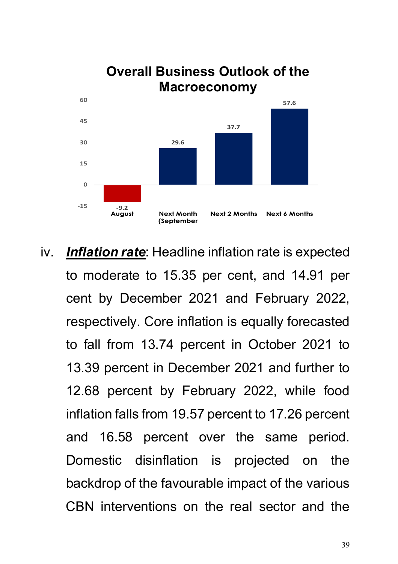

iv. *Inflation rate*: Headline inflation rate is expected to moderate to 15.35 per cent, and 14.91 per cent by December 2021 and February 2022, respectively. Core inflation is equally forecasted to fall from 13.74 percent in October 2021 to 13.39 percent in December 2021 and further to 12.68 percent by February 2022, while food inflation falls from 19.57 percent to 17.26 percent and 16.58 percent over the same period. Domestic disinflation is projected on the backdrop of the favourable impact of the various CBN interventions on the real sector and the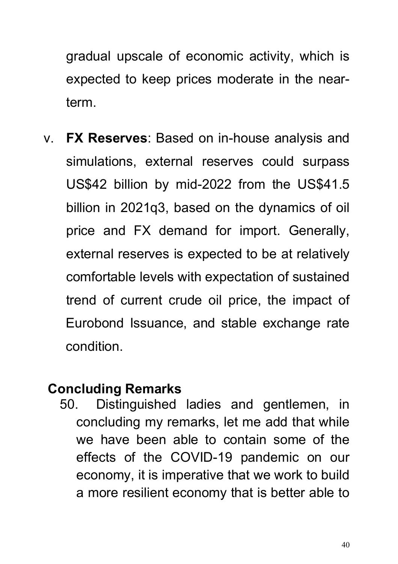gradual upscale of economic activity, which is expected to keep prices moderate in the nearterm.

v. **FX Reserves**: Based on in-house analysis and simulations, external reserves could surpass US\$42 billion by mid-2022 from the US\$41.5 billion in 2021q3, based on the dynamics of oil price and FX demand for import. Generally, external reserves is expected to be at relatively comfortable levels with expectation of sustained trend of current crude oil price, the impact of Eurobond Issuance, and stable exchange rate condition.

#### **Concluding Remarks**

50. Distinguished ladies and gentlemen, in concluding my remarks, let me add that while we have been able to contain some of the effects of the COVID-19 pandemic on our economy, it is imperative that we work to build a more resilient economy that is better able to